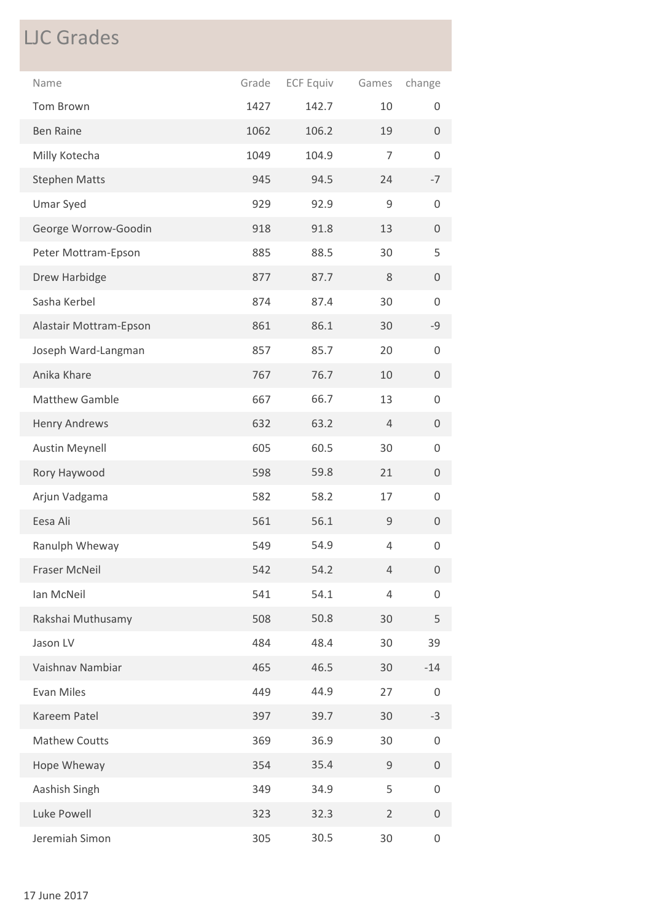## LJC Grades

| Name                   | Grade | <b>ECF Equiv</b> | Games          | change              |
|------------------------|-------|------------------|----------------|---------------------|
| Tom Brown              | 1427  | 142.7            | 10             | 0                   |
| <b>Ben Raine</b>       | 1062  | 106.2            | 19             | $\mathbf{0}$        |
| Milly Kotecha          | 1049  | 104.9            | $\overline{7}$ | 0                   |
| <b>Stephen Matts</b>   | 945   | 94.5             | 24             | $-7$                |
| <b>Umar Syed</b>       | 929   | 92.9             | $\mathsf 9$    | 0                   |
| George Worrow-Goodin   | 918   | 91.8             | 13             | 0                   |
| Peter Mottram-Epson    | 885   | 88.5             | 30             | 5                   |
| Drew Harbidge          | 877   | 87.7             | 8              | 0                   |
| Sasha Kerbel           | 874   | 87.4             | 30             | 0                   |
| Alastair Mottram-Epson | 861   | 86.1             | 30             | $-9$                |
| Joseph Ward-Langman    | 857   | 85.7             | 20             | $\mathsf 0$         |
| Anika Khare            | 767   | 76.7             | 10             | $\boldsymbol{0}$    |
| Matthew Gamble         | 667   | 66.7             | 13             | 0                   |
| <b>Henry Andrews</b>   | 632   | 63.2             | $\overline{4}$ | $\boldsymbol{0}$    |
| <b>Austin Meynell</b>  | 605   | 60.5             | 30             | 0                   |
| Rory Haywood           | 598   | 59.8             | 21             | 0                   |
| Arjun Vadgama          | 582   | 58.2             | 17             | 0                   |
| Eesa Ali               | 561   | 56.1             | $\mathsf 9$    | 0                   |
| Ranulph Wheway         | 549   | 54.9             | $\overline{4}$ | 0                   |
| <b>Fraser McNeil</b>   | 542   | 54.2             | $\overline{4}$ | 0                   |
| Ian McNeil             | 541   | 54.1             | $\overline{4}$ | 0                   |
| Rakshai Muthusamy      | 508   | 50.8             | 30             | 5                   |
| Jason LV               | 484   | 48.4             | 30             | 39                  |
| Vaishnav Nambiar       | 465   | 46.5             | 30             | $-14$               |
| <b>Evan Miles</b>      | 449   | 44.9             | 27             | 0                   |
| Kareem Patel           | 397   | 39.7             | 30             | $-3$                |
| <b>Mathew Coutts</b>   | 369   | 36.9             | 30             | 0                   |
| Hope Wheway            | 354   | 35.4             | $\mathsf 9$    | 0                   |
| Aashish Singh          | 349   | 34.9             | 5              | 0                   |
| Luke Powell            | 323   | 32.3             | $\overline{2}$ | 0                   |
| Jeremiah Simon         | 305   | 30.5             | 30             | $\mathsf{O}\xspace$ |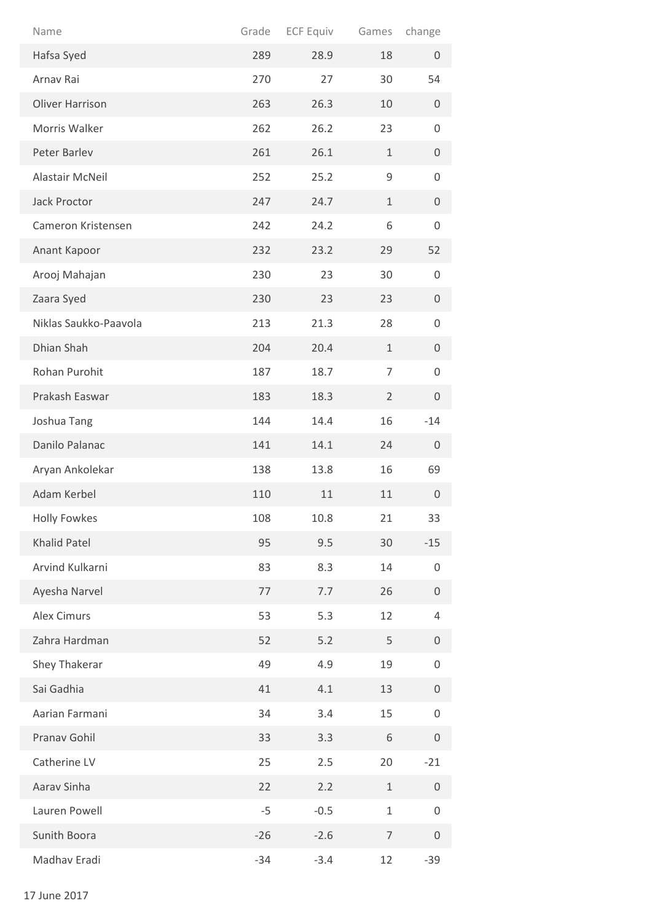| Name                   | Grade | <b>ECF Equiv</b> | Games          | change              |
|------------------------|-------|------------------|----------------|---------------------|
| Hafsa Syed             | 289   | 28.9             | 18             | $\mathbf 0$         |
| Arnav Rai              | 270   | 27               | 30             | 54                  |
| <b>Oliver Harrison</b> | 263   | 26.3             | 10             | 0                   |
| Morris Walker          | 262   | 26.2             | 23             | $\mathsf{O}\xspace$ |
| Peter Barlev           | 261   | 26.1             | $\mathbf{1}$   | 0                   |
| Alastair McNeil        | 252   | 25.2             | 9              | 0                   |
| Jack Proctor           | 247   | 24.7             | $\mathbf 1$    | $\mathbf 0$         |
| Cameron Kristensen     | 242   | 24.2             | 6              | $\mathsf{O}\xspace$ |
| Anant Kapoor           | 232   | 23.2             | 29             | 52                  |
| Arooj Mahajan          | 230   | 23               | 30             | $\mathsf{O}\xspace$ |
| Zaara Syed             | 230   | 23               | 23             | $\mathbf 0$         |
| Niklas Saukko-Paavola  | 213   | 21.3             | 28             | 0                   |
| Dhian Shah             | 204   | 20.4             | $\mathbf{1}$   | 0                   |
| Rohan Purohit          | 187   | 18.7             | $\overline{7}$ | $\mathbf 0$         |
| Prakash Easwar         | 183   | 18.3             | $\overline{2}$ | $\mathbf 0$         |
| Joshua Tang            | 144   | 14.4             | 16             | $-14$               |
| Danilo Palanac         | 141   | 14.1             | 24             | $\mathbf 0$         |
| Aryan Ankolekar        | 138   | 13.8             | 16             | 69                  |
| Adam Kerbel            | 110   | 11               | 11             | $\boldsymbol{0}$    |
| <b>Holly Fowkes</b>    | 108   | 10.8             | 21             | 33                  |
| <b>Khalid Patel</b>    | 95    | 9.5              | 30             | $-15$               |
| Arvind Kulkarni        | 83    | 8.3              | 14             | 0                   |
| Ayesha Narvel          | 77    | 7.7              | 26             | $\mathbf 0$         |
| <b>Alex Cimurs</b>     | 53    | 5.3              | 12             | $\overline{4}$      |
| Zahra Hardman          | 52    | 5.2              | 5              | $\mathsf{O}\xspace$ |
| Shey Thakerar          | 49    | 4.9              | 19             | 0                   |
| Sai Gadhia             | 41    | 4.1              | 13             | $\boldsymbol{0}$    |
| Aarian Farmani         | 34    | 3.4              | 15             | $\mathsf{O}\xspace$ |
| Pranav Gohil           | 33    | 3.3              | 6              | $\boldsymbol{0}$    |
| Catherine LV           | 25    | 2.5              | 20             | $-21$               |
| Aarav Sinha            | 22    | 2.2              | 1              | 0                   |
| Lauren Powell          | $-5$  | $-0.5$           | $\mathbf{1}$   | $\mathsf{O}\xspace$ |
| Sunith Boora           | $-26$ | $-2.6$           | $\overline{7}$ | $\boldsymbol{0}$    |
| Madhav Eradi           | $-34$ | $-3.4$           | 12             | $-39$               |